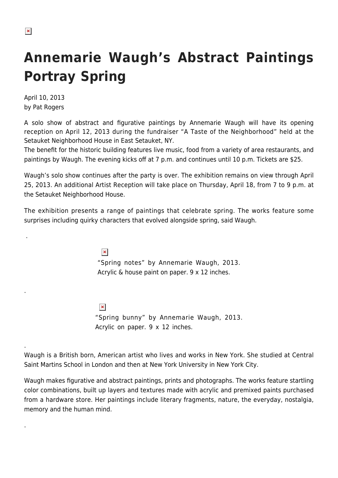.

.

.

.

## **Annemarie Waugh's Abstract Paintings Portray Spring**

April 10, 2013 by Pat Rogers

A solo show of abstract and figurative paintings by Annemarie Waugh will have its opening reception on April 12, 2013 during the fundraiser "A Taste of the Neighborhood" held at the Setauket Neighborhood House in East Setauket, NY.

The benefit for the historic building features live music, food from a variety of area restaurants, and paintings by Waugh. The evening kicks off at 7 p.m. and continues until 10 p.m. Tickets are \$25.

Waugh's solo show continues after the party is over. The exhibition remains on view through April 25, 2013. An additional Artist Reception will take place on Thursday, April 18, from 7 to 9 p.m. at the Setauket Neighborhood House.

The exhibition presents a range of paintings that celebrate spring. The works feature some surprises including quirky characters that evolved alongside spring, said Waugh.

> $\pmb{\times}$ "Spring notes" by Annemarie Waugh, 2013. Acrylic & house paint on paper. 9 x 12 inches.

 $\pmb{\times}$ "Spring bunny" by Annemarie Waugh, 2013. Acrylic on paper. 9 x 12 inches.

Waugh is a British born, American artist who lives and works in New York. She studied at Central Saint Martins School in London and then at New York University in New York City.

Waugh makes figurative and abstract paintings, prints and photographs. The works feature startling color combinations, built up layers and textures made with acrylic and premixed paints purchased from a hardware store. Her paintings include literary fragments, nature, the everyday, nostalgia, memory and the human mind.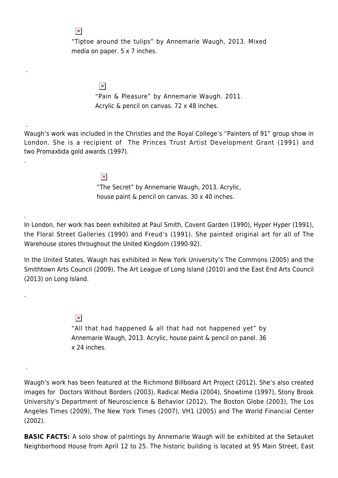"Tiptoe around the tulips" by Annemarie Waugh, 2013. Mixed media on paper. 5 x 7 inches.

> $\pmb{\times}$ "Pain & Pleasure" by Annemarie Waugh. 2011. Acrylic & pencil on canvas. 72 x 48 inches.

Waugh's work was included in the Christies and the Royal College's "Painters of 91" group show in London. She is a recipient of The Princes Trust Artist Development Grant (1991) and two Promaxbda gold awards (1997).

> $\pmb{\times}$ "The Secret" by Annemarie Waugh, 2013. Acrylic, house paint & pencil on canvas. 30 x 40 inches.

In London, her work has been exhibited at Paul Smith, Covent Garden (1990), Hyper Hyper (1991), the Floral Street Galleries (1990) and Freud's (1991). She painted original art for all of The Warehouse stores throughout the United Kingdom (1990-92).

In the United States, Waugh has exhibited in New York University's The Commons (2005) and the Smithtown Arts Council (2009), The Art League of Long Island (2010) and the East End Arts Council (2013) on Long Island.

> $\pmb{\times}$ "All that had happened & all that had not happened yet" by Annemarie Waugh, 2013. Acrylic, house paint & pencil on panel. 36 x 24 inches.

Waugh's work has been featured at the Richmond Billboard Art Project (2012). She's also created images for Doctors Without Borders (2003), Radical Media (2004), Showtime (1997), Stony Brook University's Department of Neuroscience & Behavior (2012), The Boston Globe (2003), The Los Angeles Times (2009), The New York Times (2007), VH1 (2005) and The World Financial Center (2002).

**BASIC FACTS:** A solo show of paintings by Annemarie Waugh will be exhibited at the Setauket Neighborhood House from April 12 to 25. The historic building is located at 95 Main Street, East

## $\pmb{\times}$

.

.

.

.

.

.